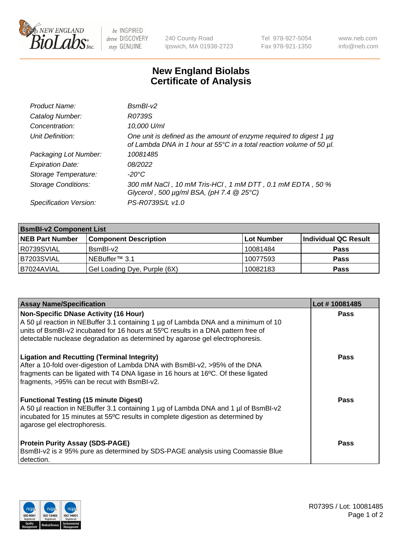

be INSPIRED drive DISCOVERY stay GENUINE

240 County Road Ipswich, MA 01938-2723 Tel 978-927-5054 Fax 978-921-1350 www.neb.com info@neb.com

## **New England Biolabs Certificate of Analysis**

| Product Name:              | $BsmBI-v2$                                                                                                                                  |
|----------------------------|---------------------------------------------------------------------------------------------------------------------------------------------|
| Catalog Number:            | R0739S                                                                                                                                      |
| Concentration:             | 10,000 U/ml                                                                                                                                 |
| Unit Definition:           | One unit is defined as the amount of enzyme required to digest 1 µg<br>of Lambda DNA in 1 hour at 55°C in a total reaction volume of 50 µl. |
| Packaging Lot Number:      | 10081485                                                                                                                                    |
| <b>Expiration Date:</b>    | 08/2022                                                                                                                                     |
| Storage Temperature:       | $-20^{\circ}$ C                                                                                                                             |
| <b>Storage Conditions:</b> | 300 mM NaCl, 10 mM Tris-HCl, 1 mM DTT, 0.1 mM EDTA, 50 %<br>Glycerol, 500 $\mu$ g/ml BSA, (pH 7.4 $@25°C$ )                                 |
| Specification Version:     | PS-R0739S/L v1.0                                                                                                                            |

| <b>BsmBI-v2 Component List</b> |                              |                   |                      |  |  |
|--------------------------------|------------------------------|-------------------|----------------------|--|--|
| <b>NEB Part Number</b>         | <b>Component Description</b> | <b>Lot Number</b> | Individual QC Result |  |  |
| I R0739SVIAL                   | BsmBI-v2                     | 10081484          | <b>Pass</b>          |  |  |
| B7203SVIAL                     | INEBuffer™ 3.1               | 10077593          | <b>Pass</b>          |  |  |
| IB7024AVIAL                    | Gel Loading Dye, Purple (6X) | 10082183          | <b>Pass</b>          |  |  |

| <b>Assay Name/Specification</b>                                                                                                                                                                                                                                                                          | Lot #10081485 |
|----------------------------------------------------------------------------------------------------------------------------------------------------------------------------------------------------------------------------------------------------------------------------------------------------------|---------------|
| <b>Non-Specific DNase Activity (16 Hour)</b><br>A 50 µl reaction in NEBuffer 3.1 containing 1 µg of Lambda DNA and a minimum of 10<br>units of BsmBI-v2 incubated for 16 hours at 55°C results in a DNA pattern free of<br>detectable nuclease degradation as determined by agarose gel electrophoresis. | <b>Pass</b>   |
| <b>Ligation and Recutting (Terminal Integrity)</b><br>After a 10-fold over-digestion of Lambda DNA with BsmBI-v2, >95% of the DNA<br>fragments can be ligated with T4 DNA ligase in 16 hours at 16°C. Of these ligated<br>fragments, >95% can be recut with BsmBI-v2.                                    | Pass          |
| <b>Functional Testing (15 minute Digest)</b><br>A 50 µl reaction in NEBuffer 3.1 containing 1 µg of Lambda DNA and 1 µl of BsmBI-v2<br>incubated for 15 minutes at 55°C results in complete digestion as determined by<br>agarose gel electrophoresis.                                                   | <b>Pass</b>   |
| <b>Protein Purity Assay (SDS-PAGE)</b><br>BsmBI-v2 is ≥ 95% pure as determined by SDS-PAGE analysis using Coomassie Blue<br>detection.                                                                                                                                                                   | Pass          |